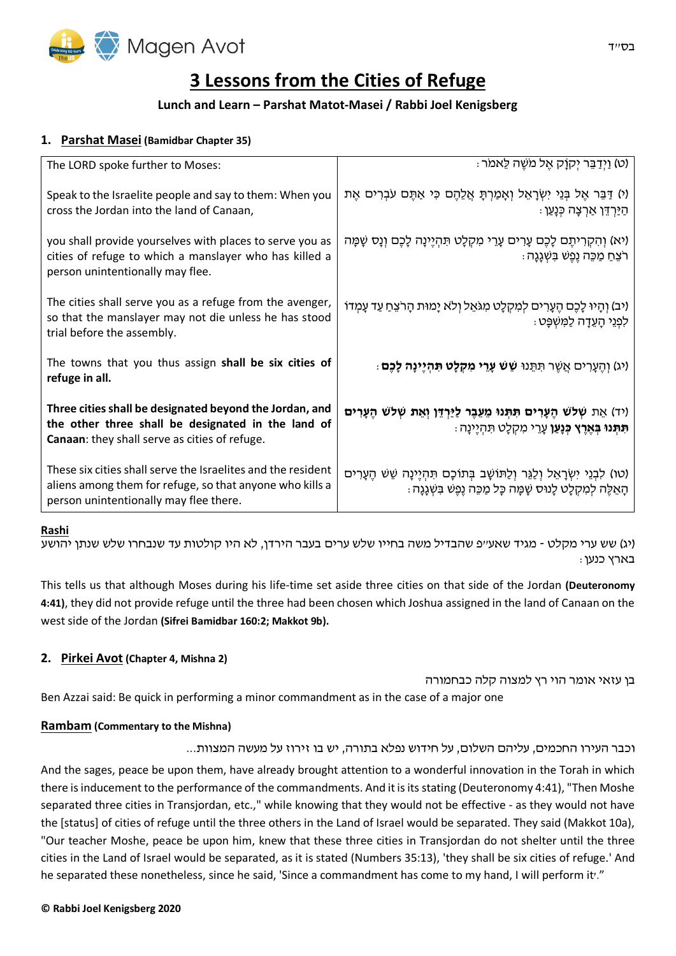

# **3 Lessons from the Cities of Refuge**

# **Lunch and Learn – Parshat Matot-Masei / Rabbi Joel Kenigsberg**

# **1. Parshat Masei (Bamidbar Chapter 35)**

| The LORD spoke further to Moses:                                                                                                                                   | ּ (ט) וַיְדַבֵּר יִקְוַק אֱל מֹשֶׁה לֵאמֹר)                                                                                                               |
|--------------------------------------------------------------------------------------------------------------------------------------------------------------------|-----------------------------------------------------------------------------------------------------------------------------------------------------------|
| Speak to the Israelite people and say to them: When you<br>cross the Jordan into the land of Canaan,                                                               | (י) דַּבֵּר אֶל בְּנֵי יִשְׂרָאֵל וְאָמַרְתָּ אֲלֵהֶם כִּי אַתֶּם עֹבְרִים אֶת<br>ּ הַיַּרְדֵּן אַרִצָה כְּנָעַן ּ                                        |
| you shall provide yourselves with places to serve you as<br>cities of refuge to which a manslayer who has killed a<br>person unintentionally may flee.             | וֹא) וְהִקְרִיתֶם לָכֶם עָרִים עָרֵי מִקְלָט תִּהְיֶינָה לָכֶם וְנָס שָׁמָּה<br>ּרֹצֵחַ מַכֵּה נֵפֵשׁ בִּשְׁנֶנָה                                         |
| The cities shall serve you as a refuge from the avenger,<br>so that the manslayer may not die unless he has stood<br>trial before the assembly.                    | ויב) וְהָיוּ לָכֶם הֶעָרִים לְמִקְלָט מִגּאֵל וְלֹא יָמוּת הָרֹצֵח עַד עָמְדוֹ<br>ַלְפְנֵי הָעֵדָה לַמְּשִׁפָּט <i>:</i>                                  |
| The towns that you thus assign shall be six cities of<br>refuge in all.                                                                                            | ּ (יג) וְהֵעָרִים אֲשֵׁר תִּתֵּנוּ <b>שֵׁשׁ עָרֵי מִקְלָט תִּהְיֶינָה לָכֶם</b> )                                                                         |
| Three cities shall be designated beyond the Jordan, and<br>the other three shall be designated in the land of<br>Canaan: they shall serve as cities of refuge.     | (יד) אֵת שְׁלֹשׁ הֶעָרִים תִּתְּנוּ מֵעֵבֶר לַיַּרְדֵּן וְאֵת שְׁלֹשׁ הֶעָרִים<br>ּ <b>תִּתְּנוּ בְּאֶרֶץ כְּנָעַן</b> עָרֵי מִקְלָט תִּהְיֶינָה :        |
| These six cities shall serve the Israelites and the resident<br>aliens among them for refuge, so that anyone who kills a<br>person unintentionally may flee there. | (טו) לְבְנֵי יְשְׂרָאֱל וְלַגֵּר וְלַתּוֹשָׁב בְּתוֹכָם תִּהְיֵינָה שֵׁשׁ הֵעָרִים<br>ּהָאֵלֶה לִמְקָלָט לָנוּס שָׁמַּה כָּל מַכֵּה נֵפֵשׁ בִּשְׁגָּנָה : |

## **Rashi**

(יג) שש ערי מקלט - מגיד שאע"פ שהבדיל משה בחייו שלש ערים בעבר הירדן, לא היו קולטות עד שנבחרו שלש שנתן יהושע בארץ כנען:

This tells us that although Moses during his life-time set aside three cities on that side of the Jordan **(Deuteronomy 4:41)**, they did not provide refuge until the three had been chosen which Joshua assigned in the land of Canaan on the west side of the Jordan **(Sifrei Bamidbar 160:2; Makkot 9b).**

# **2. Pirkei Avot (Chapter 4, Mishna 2)**

בן עזאי אומר הוי רץ למצוה קלה כבחמורה

Ben Azzai said: Be quick in performing a minor commandment as in the case of a major one

# **Rambam (Commentary to the Mishna)**

וכבר העירו החכמים, עליהם השלום, על חידוש נפלא בתורה, יש בו זירוז על מעשה המצוות...

And the sages, peace be upon them, have already brought attention to a wonderful innovation in the Torah in which there is inducement to the performance of the commandments. And it is its stating (Deuteronomy 4:41), "Then Moshe separated three cities in Transjordan, etc.," while knowing that they would not be effective - as they would not have the [status] of cities of refuge until the three others in the Land of Israel would be separated. They said (Makkot 10a), "Our teacher Moshe, peace be upon him, knew that these three cities in Transjordan do not shelter until the three cities in the Land of Israel would be separated, as it is stated (Numbers 35:13), 'they shall be six cities of refuge.' And he separated these nonetheless, since he said, 'Since a commandment has come to my hand, I will perform it'."